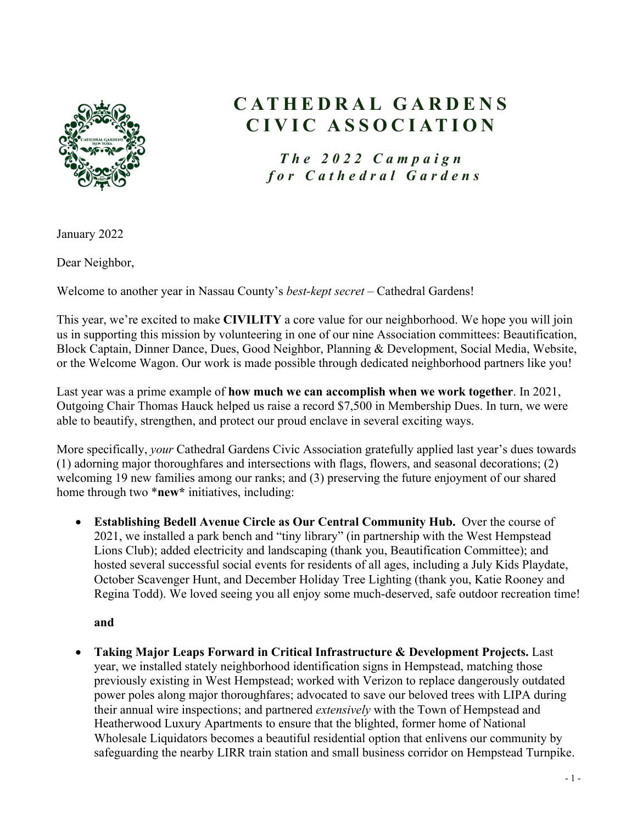

# **CATHEDRAL GARDENS CIVIC ASSOCIATION**

*The 2022 Campaign for Cathedral Gardens*

January 2022

Dear Neighbor,

Welcome to another year in Nassau County's *best-kept secret* – Cathedral Gardens!

This year, we're excited to make **CIVILITY** a core value for our neighborhood. We hope you will join us in supporting this mission by volunteering in one of our nine Association committees: Beautification, Block Captain, Dinner Dance, Dues, Good Neighbor, Planning & Development, Social Media, Website, or the Welcome Wagon. Our work is made possible through dedicated neighborhood partners like you!

Last year was a prime example of **how much we can accomplish when we work together**. In 2021, Outgoing Chair Thomas Hauck helped us raise a record \$7,500 in Membership Dues. In turn, we were able to beautify, strengthen, and protect our proud enclave in several exciting ways.

More specifically, *your* Cathedral Gardens Civic Association gratefully applied last year's dues towards (1) adorning major thoroughfares and intersections with flags, flowers, and seasonal decorations; (2) welcoming 19 new families among our ranks; and (3) preserving the future enjoyment of our shared home through two \***new\*** initiatives, including:

• **Establishing Bedell Avenue Circle as Our Central Community Hub.** Over the course of 2021, we installed a park bench and "tiny library" (in partnership with the West Hempstead Lions Club); added electricity and landscaping (thank you, Beautification Committee); and hosted several successful social events for residents of all ages, including a July Kids Playdate, October Scavenger Hunt, and December Holiday Tree Lighting (thank you, Katie Rooney and Regina Todd). We loved seeing you all enjoy some much-deserved, safe outdoor recreation time!

**and**

• **Taking Major Leaps Forward in Critical Infrastructure & Development Projects.** Last year, we installed stately neighborhood identification signs in Hempstead, matching those previously existing in West Hempstead; worked with Verizon to replace dangerously outdated power poles along major thoroughfares; advocated to save our beloved trees with LIPA during their annual wire inspections; and partnered *extensively* with the Town of Hempstead and Heatherwood Luxury Apartments to ensure that the blighted, former home of National Wholesale Liquidators becomes a beautiful residential option that enlivens our community by safeguarding the nearby LIRR train station and small business corridor on Hempstead Turnpike.